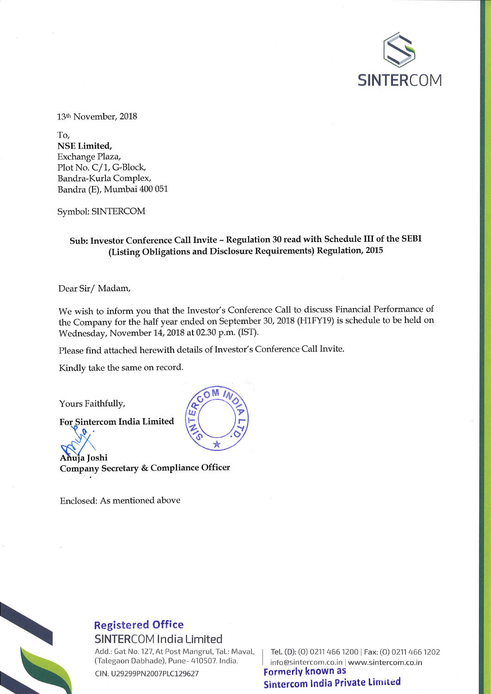

13<sup>th</sup> November, 2018

To, **NSE Limited,** Exchange Plaza, Plot No. C/1, G-Block, Bandra-Kurla Complex, Bandra (E), Mumbai 400 051

Symbol: SINTERCOM

### Sub: Investor Conference Call Invite - Regulation 30 read with Schedule III of the SEBI (Listing Obligations and Disclosure Requirements) Regulation, 2015

Dear Sir/Madam,

We wish to inform you that the Investor's Conference Call to discuss Financial Performance of the Company for the half year ended on September 30, 2018 (H1FY19) is schedule to be held on Wednesday, November 14, 2018 at 02.30 p.m. (IST).

Please find attached herewith details of Investor's Conference Call Invite.

Kindly take the same on record.

Yours Faithfully,

 $\mathbf{v}$ 

For Sintercom India Limited

Anuja Joshi Company Secretary & Compliance Officer

Enclosed: As mentioned above



# **Registered Office**

**SINTERCOM India Limited** 

Add.: Gat No. 127, At Post Mangrul, Tal.: Maval, (Talegaon Dabhade), Pune- 410507. India.

CIN. U29299PN2007PLC129627

Tel. (D): (0) 0211 466 1200 | Fax: (0) 0211 466 1202 info@sintercom.co.in | www.sintercom.co.in **Formerly known as Sintercom India Private Limited**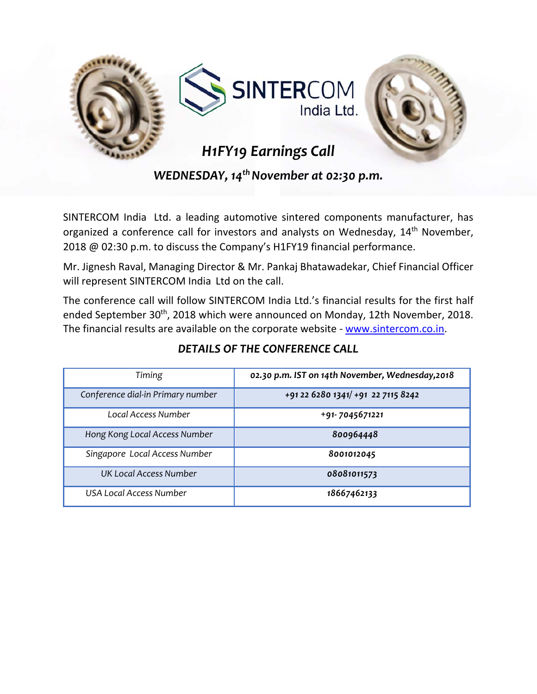

*WEDNESDAY, 14<sup>th</sup> November at 02:30 p.m.* 

SINTERCOM India Ltd. a leading automotive sintered components manufacturer, has organized a conference call for investors and analysts on Wednesday, 14<sup>th</sup> November, 2018 @ 02:30 p.m. to discuss the Company's H1FY19 financial performance.

Mr. Jignesh Raval, Managing Director & Mr. Pankaj Bhatawadekar, Chief Financial Officer will represent SINTERCOM India Ltd on the call.

The conference call will follow SINTERCOM India Ltd.'s financial results for the first half ended September 30<sup>th</sup>, 2018 which were announced on Monday, 12th November, 2018. The financial results are available on the corporate website - www.sintercom.co.in.

| Timing                            | 02.30 p.m. IST on 14th November, Wednesday, 2018 |
|-----------------------------------|--------------------------------------------------|
| Conference dial-in Primary number | +91 22 6280 1341/ +91 22 7115 8242               |
| Local Access Number               | +91-7045671221                                   |
| Hong Kong Local Access Number     | 800964448                                        |
| Singapore Local Access Number     | 8001012045                                       |
| <b>UK Local Access Number</b>     | 08081011573                                      |
| <b>USA Local Access Number</b>    | 18667462133                                      |

## *DETAILS OF THE CONFERENCE CALL*